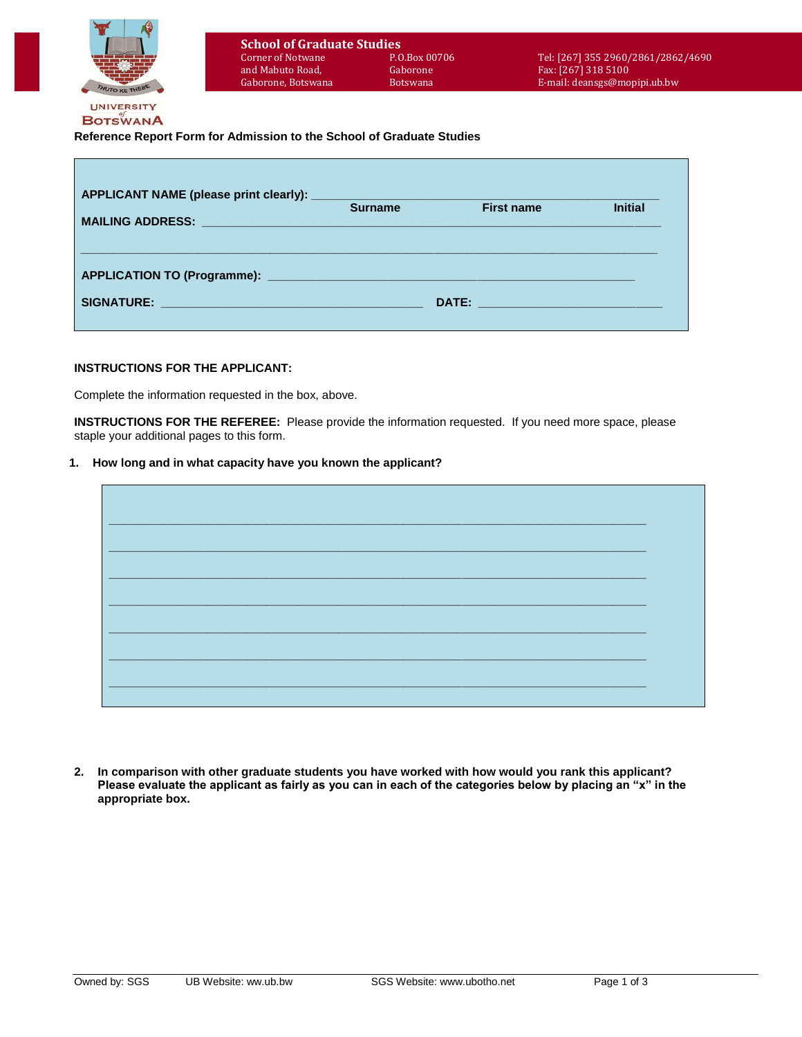

# **Reference Report Form for Admission to the School of Graduate Studies**

| <b>MAILING ADDRESS:</b><br><u> 1980 - Jan Samuel Barbara, martin da basar da basar da basar da basar da basar da basar da basar da basar da</u> | <b>Surname</b> | <b>First name</b> | <b>Initial</b> |
|-------------------------------------------------------------------------------------------------------------------------------------------------|----------------|-------------------|----------------|
|                                                                                                                                                 |                |                   |                |
|                                                                                                                                                 |                |                   |                |
|                                                                                                                                                 |                |                   |                |

## **INSTRUCTIONS FOR THE APPLICANT:**

Complete the information requested in the box, above.

**INSTRUCTIONS FOR THE REFEREE:** Please provide the information requested. If you need more space, please staple your additional pages to this form.

#### **1. How long and in what capacity have you known the applicant?**



**2. In comparison with other graduate students you have worked with how would you rank this applicant? Please evaluate the applicant as fairly as you can in each of the categories below by placing an "x" in the appropriate box.**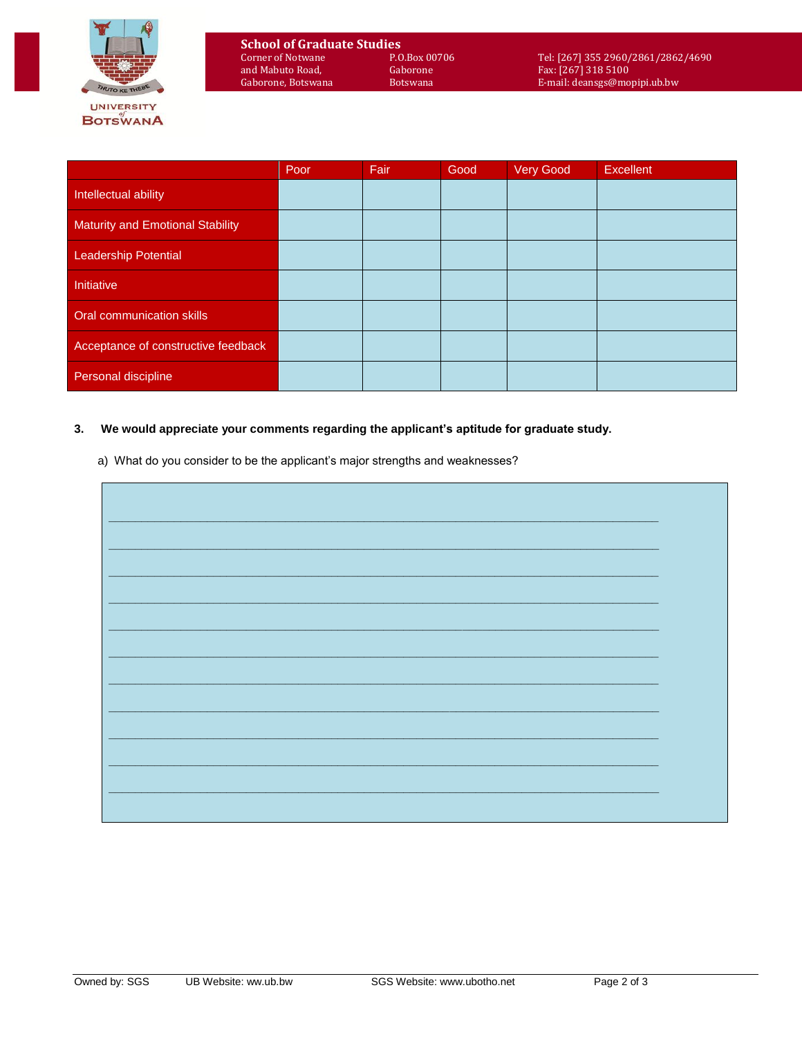

|                                         | Poor | Fair | Good | <b>Very Good</b> | Excellent |
|-----------------------------------------|------|------|------|------------------|-----------|
| Intellectual ability                    |      |      |      |                  |           |
| <b>Maturity and Emotional Stability</b> |      |      |      |                  |           |
| Leadership Potential                    |      |      |      |                  |           |
| Initiative                              |      |      |      |                  |           |
| Oral communication skills               |      |      |      |                  |           |
| Acceptance of constructive feedback     |      |      |      |                  |           |
| Personal discipline                     |      |      |      |                  |           |

## **3. We would appreciate your comments regarding the applicant's aptitude for graduate study.**

a) What do you consider to be the applicant's major strengths and weaknesses?